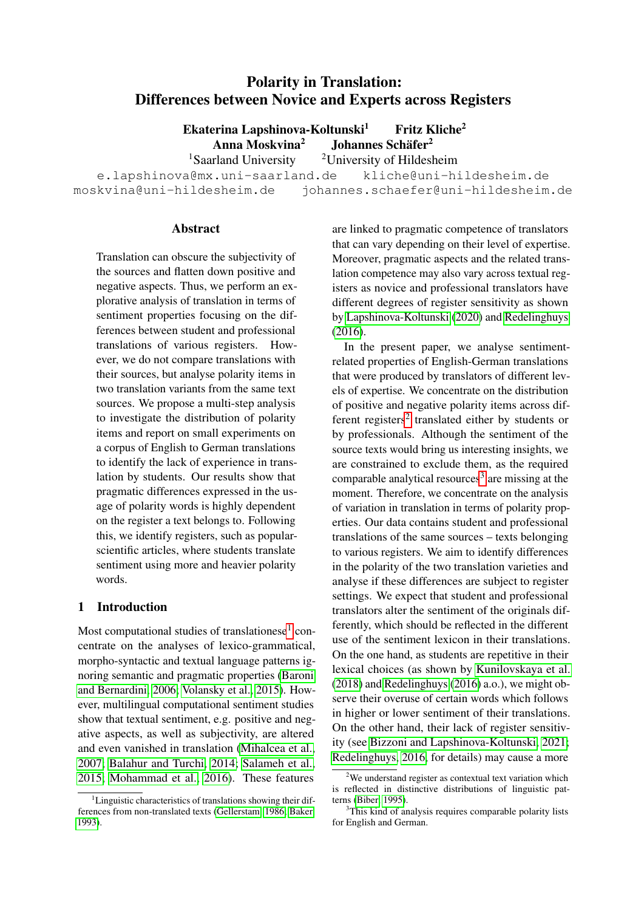# Polarity in Translation: Differences between Novice and Experts across Registers

Ekaterina Lapshinova-Koltunski<sup>1</sup> Fritz Kliche<sup>2</sup>

Anna Moskvina<sup>2</sup> Johannes Schäfer<sup>2</sup>

<sup>1</sup>Saarland University  $2$ <sup>2</sup>University of Hildesheim

e.lapshinova@mx.uni-saarland.de kliche@uni-hildesheim.de moskvina@uni-hildesheim.de johannes.schaefer@uni-hildesheim.de

#### **Abstract**

Translation can obscure the subjectivity of the sources and flatten down positive and negative aspects. Thus, we perform an explorative analysis of translation in terms of sentiment properties focusing on the differences between student and professional translations of various registers. However, we do not compare translations with their sources, but analyse polarity items in two translation variants from the same text sources. We propose a multi-step analysis to investigate the distribution of polarity items and report on small experiments on a corpus of English to German translations to identify the lack of experience in translation by students. Our results show that pragmatic differences expressed in the usage of polarity words is highly dependent on the register a text belongs to. Following this, we identify registers, such as popularscientific articles, where students translate sentiment using more and heavier polarity words.

# 1 Introduction

Most computational studies of translationese $<sup>1</sup>$  $<sup>1</sup>$  $<sup>1</sup>$  con-</sup> centrate on the analyses of lexico-grammatical, morpho-syntactic and textual language patterns ignoring semantic and pragmatic properties [\(Baroni](#page-5-0) [and Bernardini, 2006;](#page-5-0) [Volansky et al., 2015\)](#page-6-0). However, multilingual computational sentiment studies show that textual sentiment, e.g. positive and negative aspects, as well as subjectivity, are altered and even vanished in translation [\(Mihalcea et al.,](#page-6-1) [2007;](#page-6-1) [Balahur and Turchi, 2014;](#page-5-1) [Salameh et al.,](#page-6-2) [2015;](#page-6-2) [Mohammad et al., 2016\)](#page-6-3). These features

are linked to pragmatic competence of translators that can vary depending on their level of expertise. Moreover, pragmatic aspects and the related translation competence may also vary across textual registers as novice and professional translators have different degrees of register sensitivity as shown by [Lapshinova-Koltunski](#page-6-5) [\(2020\)](#page-6-5) and [Redelinghuys](#page-6-6) [\(2016\)](#page-6-6).

In the present paper, we analyse sentimentrelated properties of English-German translations that were produced by translators of different levels of expertise. We concentrate on the distribution of positive and negative polarity items across dif-ferent registers<sup>[2](#page-0-1)</sup> translated either by students or by professionals. Although the sentiment of the source texts would bring us interesting insights, we are constrained to exclude them, as the required comparable analytical resources<sup>[3](#page-0-2)</sup> are missing at the moment. Therefore, we concentrate on the analysis of variation in translation in terms of polarity properties. Our data contains student and professional translations of the same sources – texts belonging to various registers. We aim to identify differences in the polarity of the two translation varieties and analyse if these differences are subject to register settings. We expect that student and professional translators alter the sentiment of the originals differently, which should be reflected in the different use of the sentiment lexicon in their translations. On the one hand, as students are repetitive in their lexical choices (as shown by [Kunilovskaya et al.](#page-6-7) [\(2018\)](#page-6-7) and [Redelinghuys](#page-6-6) [\(2016\)](#page-6-6) a.o.), we might observe their overuse of certain words which follows in higher or lower sentiment of their translations. On the other hand, their lack of register sensitivity (see [Bizzoni and Lapshinova-Koltunski, 2021;](#page-5-3) [Redelinghuys, 2016,](#page-6-6) for details) may cause a more

<span id="page-0-0"></span><sup>&</sup>lt;sup>1</sup>Linguistic characteristics of translations showing their differences from non-translated texts [\(Gellerstam, 1986;](#page-6-4) [Baker,](#page-5-2) [1993\)](#page-5-2).

<span id="page-0-1"></span> $2$ We understand register as contextual text variation which is reflected in distinctive distributions of linguistic patterns [\(Biber, 1995\)](#page-5-4).

<span id="page-0-2"></span><sup>&</sup>lt;sup>3</sup>This kind of analysis requires comparable polarity lists for English and German.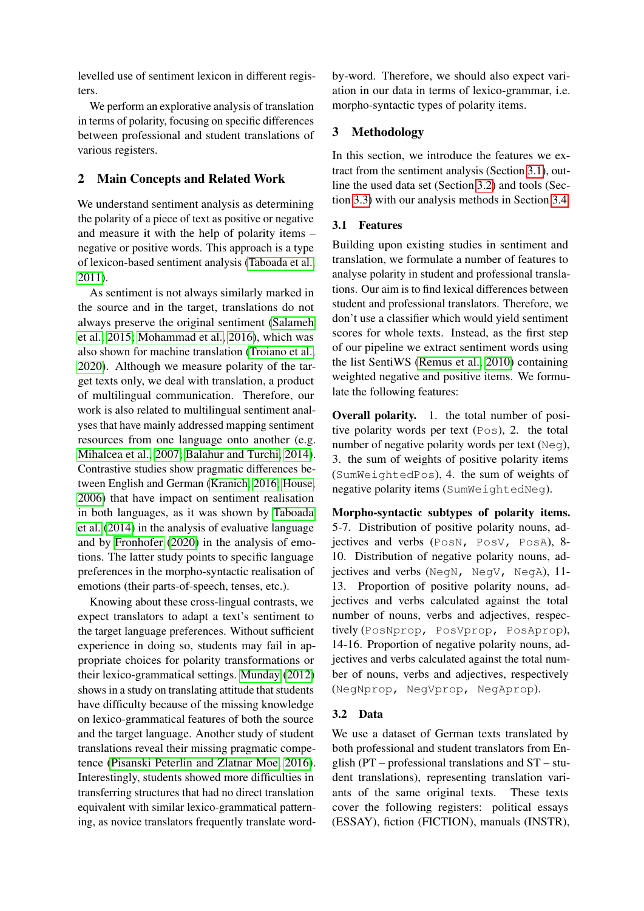levelled use of sentiment lexicon in different registers.

We perform an explorative analysis of translation in terms of polarity, focusing on specific differences between professional and student translations of various registers.

# 2 Main Concepts and Related Work

We understand sentiment analysis as determining the polarity of a piece of text as positive or negative and measure it with the help of polarity items – negative or positive words. This approach is a type of lexicon-based sentiment analysis [\(Taboada et al.,](#page-6-8) [2011\)](#page-6-8).

As sentiment is not always similarly marked in the source and in the target, translations do not always preserve the original sentiment [\(Salameh](#page-6-2) [et al., 2015;](#page-6-2) [Mohammad et al., 2016\)](#page-6-3), which was also shown for machine translation [\(Troiano et al.,](#page-6-9) [2020\)](#page-6-9). Although we measure polarity of the target texts only, we deal with translation, a product of multilingual communication. Therefore, our work is also related to multilingual sentiment analyses that have mainly addressed mapping sentiment resources from one language onto another (e.g. [Mihalcea et al., 2007;](#page-6-1) [Balahur and Turchi, 2014\)](#page-5-1). Contrastive studies show pragmatic differences between English and German [\(Kranich, 2016;](#page-6-10) [House,](#page-6-11) [2006\)](#page-6-11) that have impact on sentiment realisation in both languages, as it was shown by [Taboada](#page-6-12) [et al.](#page-6-12) [\(2014\)](#page-6-12) in the analysis of evaluative language and by [Fronhofer](#page-6-13) [\(2020\)](#page-6-13) in the analysis of emotions. The latter study points to specific language preferences in the morpho-syntactic realisation of emotions (their parts-of-speech, tenses, etc.).

Knowing about these cross-lingual contrasts, we expect translators to adapt a text's sentiment to the target language preferences. Without sufficient experience in doing so, students may fail in appropriate choices for polarity transformations or their lexico-grammatical settings. [Munday](#page-6-14) [\(2012\)](#page-6-14) shows in a study on translating attitude that students have difficulty because of the missing knowledge on lexico-grammatical features of both the source and the target language. Another study of student translations reveal their missing pragmatic competence [\(Pisanski Peterlin and Zlatnar Moe, 2016\)](#page-6-15). Interestingly, students showed more difficulties in transferring structures that had no direct translation equivalent with similar lexico-grammatical patterning, as novice translators frequently translate wordby-word. Therefore, we should also expect variation in our data in terms of lexico-grammar, i.e. morpho-syntactic types of polarity items.

# 3 Methodology

In this section, we introduce the features we extract from the sentiment analysis (Section [3.1\)](#page-1-0), outline the used data set (Section [3.2\)](#page-1-1) and tools (Section [3.3\)](#page-2-0) with our analysis methods in Section [3.4.](#page-2-1)

# <span id="page-1-0"></span>3.1 Features

Building upon existing studies in sentiment and translation, we formulate a number of features to analyse polarity in student and professional translations. Our aim is to find lexical differences between student and professional translators. Therefore, we don't use a classifier which would yield sentiment scores for whole texts. Instead, as the first step of our pipeline we extract sentiment words using the list SentiWS [\(Remus et al., 2010\)](#page-6-16) containing weighted negative and positive items. We formulate the following features:

Overall polarity. 1. the total number of positive polarity words per text (Pos), 2. the total number of negative polarity words per text (Neg), 3. the sum of weights of positive polarity items (SumWeightedPos), 4. the sum of weights of negative polarity items (SumWeightedNeg).

Morpho-syntactic subtypes of polarity items. 5-7. Distribution of positive polarity nouns, adjectives and verbs (PosN, PosV, PosA), 8- 10. Distribution of negative polarity nouns, adjectives and verbs (NegN, NegV, NegA), 11- 13. Proportion of positive polarity nouns, adjectives and verbs calculated against the total number of nouns, verbs and adjectives, respectively (PosNprop, PosVprop, PosAprop), 14-16. Proportion of negative polarity nouns, adjectives and verbs calculated against the total number of nouns, verbs and adjectives, respectively (NegNprop, NegVprop, NegAprop).

# <span id="page-1-1"></span>3.2 Data

We use a dataset of German texts translated by both professional and student translators from English (PT – professional translations and ST – student translations), representing translation variants of the same original texts. These texts cover the following registers: political essays (ESSAY), fiction (FICTION), manuals (INSTR),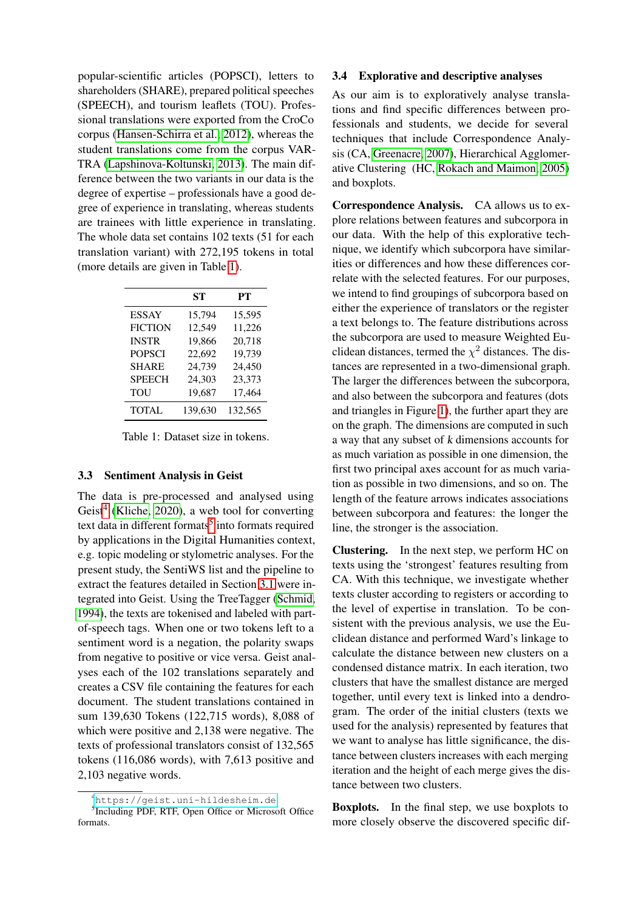popular-scientific articles (POPSCI), letters to shareholders (SHARE), prepared political speeches (SPEECH), and tourism leaflets (TOU). Professional translations were exported from the CroCo corpus [\(Hansen-Schirra et al., 2012\)](#page-6-17), whereas the student translations come from the corpus VAR-TRA [\(Lapshinova-Koltunski, 2013\)](#page-6-18). The main difference between the two variants in our data is the degree of expertise – professionals have a good degree of experience in translating, whereas students are trainees with little experience in translating. The whole data set contains 102 texts (51 for each translation variant) with 272,195 tokens in total (more details are given in Table [1\)](#page-2-2).

|                | SТ      | PТ      |
|----------------|---------|---------|
| <b>ESSAY</b>   | 15,794  | 15.595  |
| <b>FICTION</b> | 12,549  | 11,226  |
| <b>INSTR</b>   | 19,866  | 20,718  |
| <b>POPSCI</b>  | 22,692  | 19,739  |
| <b>SHARE</b>   | 24.739  | 24,450  |
| <b>SPEECH</b>  | 24.303  | 23,373  |
| <b>TOU</b>     | 19,687  | 17,464  |
| <b>TOTAL</b>   | 139,630 | 132,565 |

<span id="page-2-2"></span>Table 1: Dataset size in tokens.

#### <span id="page-2-0"></span>3.3 Sentiment Analysis in Geist

The data is pre-processed and analysed using Geist<sup>[4](#page-2-3)</sup> [\(Kliche, 2020\)](#page-6-19), a web tool for converting text data in different formats<sup>[5](#page-2-4)</sup> into formats required by applications in the Digital Humanities context, e.g. topic modeling or stylometric analyses. For the present study, the SentiWS list and the pipeline to extract the features detailed in Section [3.1](#page-1-0) were integrated into Geist. Using the TreeTagger [\(Schmid,](#page-6-20) [1994\)](#page-6-20), the texts are tokenised and labeled with partof-speech tags. When one or two tokens left to a sentiment word is a negation, the polarity swaps from negative to positive or vice versa. Geist analyses each of the 102 translations separately and creates a CSV file containing the features for each document. The student translations contained in sum 139,630 Tokens (122,715 words), 8,088 of which were positive and 2,138 were negative. The texts of professional translators consist of 132,565 tokens (116,086 words), with 7,613 positive and 2,103 negative words.

#### <span id="page-2-1"></span>3.4 Explorative and descriptive analyses

As our aim is to exploratively analyse translations and find specific differences between professionals and students, we decide for several techniques that include Correspondence Analysis (CA, [Greenacre, 2007\)](#page-6-21), Hierarchical Agglomerative Clustering (HC, [Rokach and Maimon, 2005\)](#page-6-22) and boxplots.

Correspondence Analysis. CA allows us to explore relations between features and subcorpora in our data. With the help of this explorative technique, we identify which subcorpora have similarities or differences and how these differences correlate with the selected features. For our purposes, we intend to find groupings of subcorpora based on either the experience of translators or the register a text belongs to. The feature distributions across the subcorpora are used to measure Weighted Euclidean distances, termed the  $\chi^2$  distances. The distances are represented in a two-dimensional graph. The larger the differences between the subcorpora, and also between the subcorpora and features (dots and triangles in Figure [1\)](#page-3-0), the further apart they are on the graph. The dimensions are computed in such a way that any subset of k dimensions accounts for as much variation as possible in one dimension, the first two principal axes account for as much variation as possible in two dimensions, and so on. The length of the feature arrows indicates associations between subcorpora and features: the longer the line, the stronger is the association.

Clustering. In the next step, we perform HC on texts using the 'strongest' features resulting from CA. With this technique, we investigate whether texts cluster according to registers or according to the level of expertise in translation. To be consistent with the previous analysis, we use the Euclidean distance and performed Ward's linkage to calculate the distance between new clusters on a condensed distance matrix. In each iteration, two clusters that have the smallest distance are merged together, until every text is linked into a dendrogram. The order of the initial clusters (texts we used for the analysis) represented by features that we want to analyse has little significance, the distance between clusters increases with each merging iteration and the height of each merge gives the distance between two clusters.

Boxplots. In the final step, we use boxplots to more closely observe the discovered specific dif-

<span id="page-2-4"></span><span id="page-2-3"></span><sup>4</sup><https://geist.uni-hildesheim.de>

<sup>5</sup> Including PDF, RTF, Open Office or Microsoft Office formats.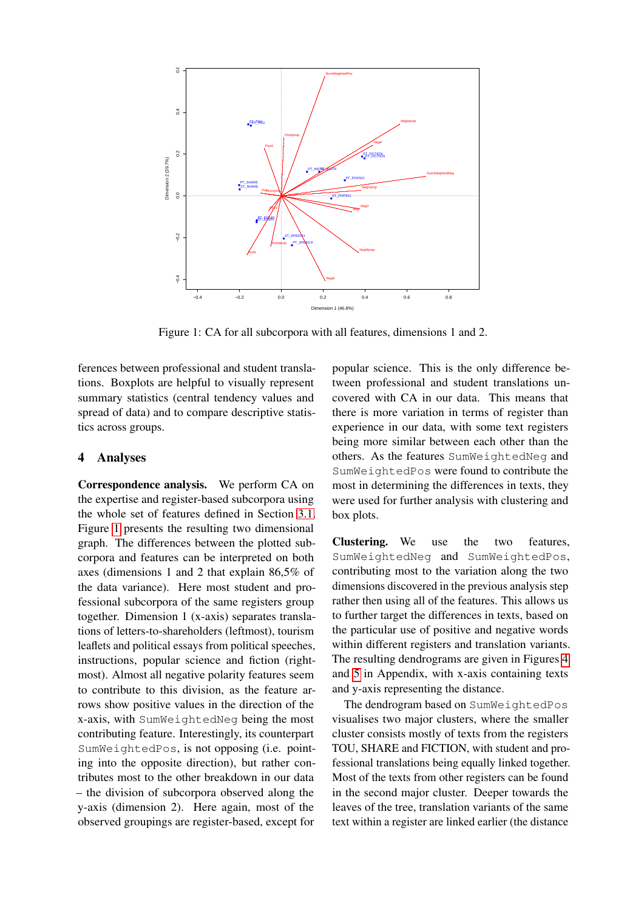

<span id="page-3-0"></span>Figure 1: CA for all subcorpora with all features, dimensions 1 and 2.

ferences between professional and student translations. Boxplots are helpful to visually represent summary statistics (central tendency values and spread of data) and to compare descriptive statistics across groups.

# 4 Analyses

Correspondence analysis. We perform CA on the expertise and register-based subcorpora using the whole set of features defined in Section [3.1.](#page-1-0) Figure [1](#page-3-0) presents the resulting two dimensional graph. The differences between the plotted subcorpora and features can be interpreted on both axes (dimensions 1 and 2 that explain 86,5% of the data variance). Here most student and professional subcorpora of the same registers group together. Dimension 1 (x-axis) separates translations of letters-to-shareholders (leftmost), tourism leaflets and political essays from political speeches, instructions, popular science and fiction (rightmost). Almost all negative polarity features seem to contribute to this division, as the feature arrows show positive values in the direction of the x-axis, with SumWeightedNeg being the most contributing feature. Interestingly, its counterpart SumWeightedPos, is not opposing (i.e. pointing into the opposite direction), but rather contributes most to the other breakdown in our data – the division of subcorpora observed along the y-axis (dimension 2). Here again, most of the observed groupings are register-based, except for

popular science. This is the only difference between professional and student translations uncovered with CA in our data. This means that there is more variation in terms of register than experience in our data, with some text registers being more similar between each other than the others. As the features SumWeightedNeg and SumWeightedPos were found to contribute the most in determining the differences in texts, they were used for further analysis with clustering and box plots.

Clustering. We use the two features, SumWeightedNeg and SumWeightedPos, contributing most to the variation along the two dimensions discovered in the previous analysis step rather then using all of the features. This allows us to further target the differences in texts, based on the particular use of positive and negative words within different registers and translation variants. The resulting dendrograms are given in Figures [4](#page-7-0) and [5](#page-7-1) in Appendix, with x-axis containing texts and y-axis representing the distance.

The dendrogram based on SumWeightedPos visualises two major clusters, where the smaller cluster consists mostly of texts from the registers TOU, SHARE and FICTION, with student and professional translations being equally linked together. Most of the texts from other registers can be found in the second major cluster. Deeper towards the leaves of the tree, translation variants of the same text within a register are linked earlier (the distance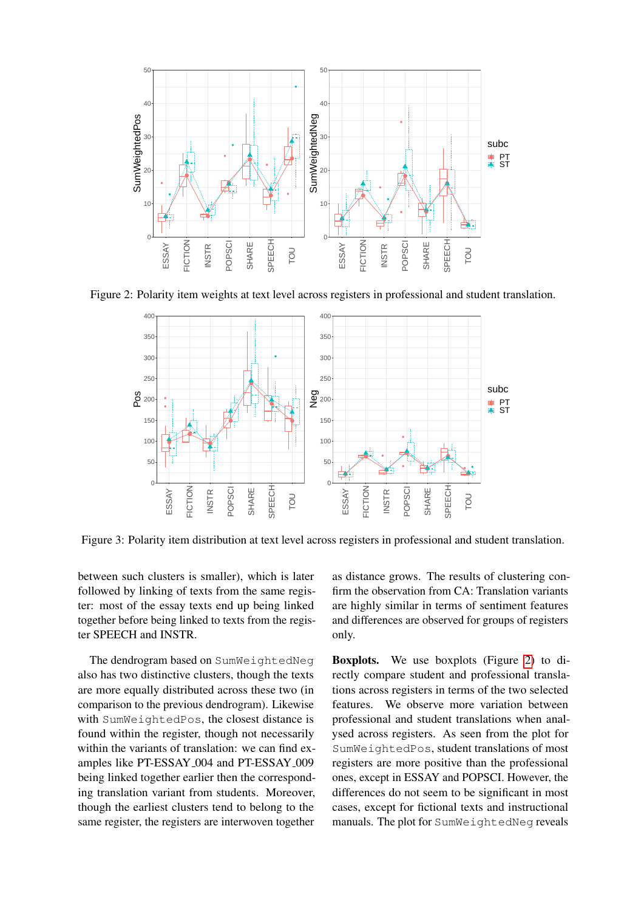

Figure 2: Polarity item weights at text level across registers in professional and student translation.

<span id="page-4-0"></span>

<span id="page-4-1"></span>Figure 3: Polarity item distribution at text level across registers in professional and student translation.

between such clusters is smaller), which is later followed by linking of texts from the same register: most of the essay texts end up being linked together before being linked to texts from the register SPEECH and INSTR.

The dendrogram based on SumWeightedNeg also has two distinctive clusters, though the texts are more equally distributed across these two (in comparison to the previous dendrogram). Likewise with SumWeightedPos, the closest distance is found within the register, though not necessarily within the variants of translation: we can find examples like PT-ESSAY\_004 and PT-ESSAY\_009 being linked together earlier then the corresponding translation variant from students. Moreover, though the earliest clusters tend to belong to the same register, the registers are interwoven together

as distance grows. The results of clustering confirm the observation from CA: Translation variants are highly similar in terms of sentiment features and differences are observed for groups of registers only.

Boxplots. We use boxplots (Figure [2\)](#page-4-0) to directly compare student and professional translations across registers in terms of the two selected features. We observe more variation between professional and student translations when analysed across registers. As seen from the plot for SumWeightedPos, student translations of most registers are more positive than the professional ones, except in ESSAY and POPSCI. However, the differences do not seem to be significant in most cases, except for fictional texts and instructional manuals. The plot for SumWeightedNeg reveals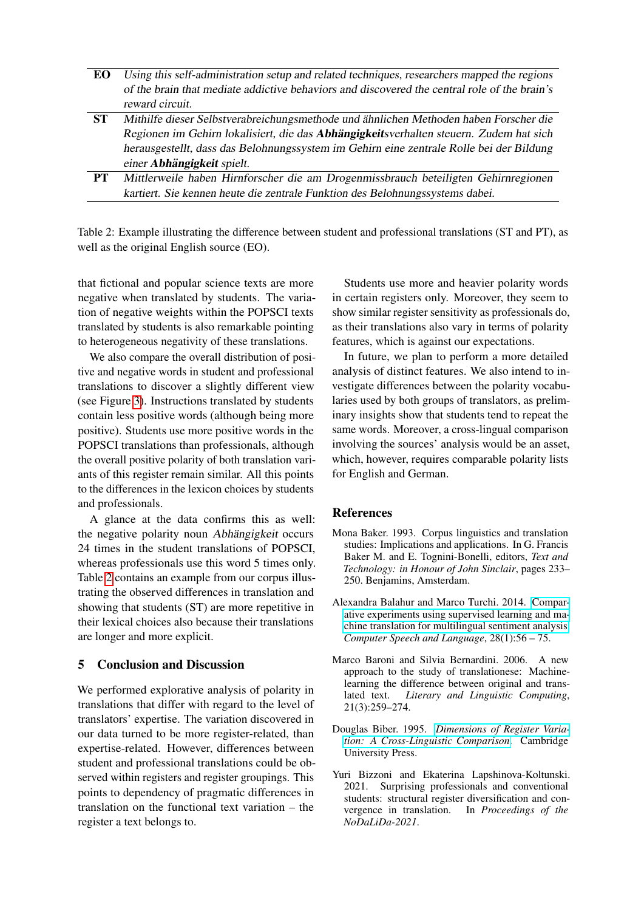- EO Using this self-administration setup and related techniques, researchers mapped the regions of the brain that mediate addictive behaviors and discovered the central role of the brain's reward circuit.
- ST Mithilfe dieser Selbstverabreichungsmethode und ahnlichen Methoden haben Forscher die ¨ Regionen im Gehirn lokalisiert, die das Abhängigkeitsverhalten steuern. Zudem hat sich herausgestellt, dass das Belohnungssystem im Gehirn eine zentrale Rolle bei der Bildung einer Abhängigkeit spielt.
- PT Mittlerweile haben Hirnforscher die am Drogenmissbrauch beteiligten Gehirnregionen kartiert. Sie kennen heute die zentrale Funktion des Belohnungssystems dabei.

<span id="page-5-5"></span>Table 2: Example illustrating the difference between student and professional translations (ST and PT), as well as the original English source (EO).

that fictional and popular science texts are more negative when translated by students. The variation of negative weights within the POPSCI texts translated by students is also remarkable pointing to heterogeneous negativity of these translations.

We also compare the overall distribution of positive and negative words in student and professional translations to discover a slightly different view (see Figure [3\)](#page-4-1). Instructions translated by students contain less positive words (although being more positive). Students use more positive words in the POPSCI translations than professionals, although the overall positive polarity of both translation variants of this register remain similar. All this points to the differences in the lexicon choices by students and professionals.

A glance at the data confirms this as well: the negative polarity noun Abhängigkeit occurs 24 times in the student translations of POPSCI, whereas professionals use this word 5 times only. Table [2](#page-5-5) contains an example from our corpus illustrating the observed differences in translation and showing that students (ST) are more repetitive in their lexical choices also because their translations are longer and more explicit.

# 5 Conclusion and Discussion

We performed explorative analysis of polarity in translations that differ with regard to the level of translators' expertise. The variation discovered in our data turned to be more register-related, than expertise-related. However, differences between student and professional translations could be observed within registers and register groupings. This points to dependency of pragmatic differences in translation on the functional text variation – the register a text belongs to.

Students use more and heavier polarity words in certain registers only. Moreover, they seem to show similar register sensitivity as professionals do, as their translations also vary in terms of polarity features, which is against our expectations.

In future, we plan to perform a more detailed analysis of distinct features. We also intend to investigate differences between the polarity vocabularies used by both groups of translators, as preliminary insights show that students tend to repeat the same words. Moreover, a cross-lingual comparison involving the sources' analysis would be an asset, which, however, requires comparable polarity lists for English and German.

# References

- <span id="page-5-2"></span>Mona Baker. 1993. Corpus linguistics and translation studies: Implications and applications. In G. Francis Baker M. and E. Tognini-Bonelli, editors, *Text and Technology: in Honour of John Sinclair*, pages 233– 250. Benjamins, Amsterdam.
- <span id="page-5-1"></span>Alexandra Balahur and Marco Turchi. 2014. [Compar](https://doi.org/https://doi.org/10.1016/j.csl.2013.03.004)[ative experiments using supervised learning and ma](https://doi.org/https://doi.org/10.1016/j.csl.2013.03.004)[chine translation for multilingual sentiment analysis.](https://doi.org/https://doi.org/10.1016/j.csl.2013.03.004) *Computer Speech and Language*, 28(1):56 – 75.
- <span id="page-5-0"></span>Marco Baroni and Silvia Bernardini. 2006. A new approach to the study of translationese: Machinelearning the difference between original and translated text. *Literary and Linguistic Computing*, 21(3):259–274.
- <span id="page-5-4"></span>Douglas Biber. 1995. *[Dimensions of Register Varia](https://books.google.de/books?id=c2eN9Z5uNdQC)[tion: A Cross-Linguistic Comparison](https://books.google.de/books?id=c2eN9Z5uNdQC)*. Cambridge University Press.
- <span id="page-5-3"></span>Yuri Bizzoni and Ekaterina Lapshinova-Koltunski. 2021. Surprising professionals and conventional students: structural register diversification and convergence in translation. In *Proceedings of the NoDaLiDa-2021*.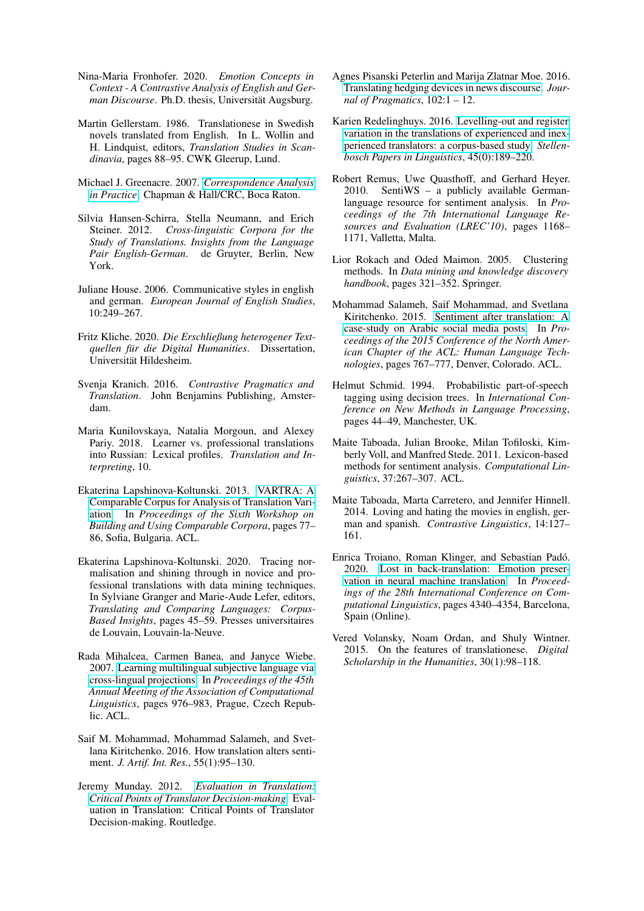- <span id="page-6-13"></span>Nina-Maria Fronhofer. 2020. *Emotion Concepts in Context - A Contrastive Analysis of English and German Discourse*. Ph.D. thesis, Universität Augsburg.
- <span id="page-6-4"></span>Martin Gellerstam. 1986. Translationese in Swedish novels translated from English. In L. Wollin and H. Lindquist, editors, *Translation Studies in Scandinavia*, pages 88–95. CWK Gleerup, Lund.
- <span id="page-6-21"></span>Michael J. Greenacre. 2007. *[Correspondence Analysis](http://www.worldcat.org/search?qt=worldcat_org_all&q=1584886161) [in Practice](http://www.worldcat.org/search?qt=worldcat_org_all&q=1584886161)*. Chapman & Hall/CRC, Boca Raton.
- <span id="page-6-17"></span>Silvia Hansen-Schirra, Stella Neumann, and Erich Steiner. 2012. *Cross-linguistic Corpora for the Study of Translations. Insights from the Language Pair English-German*. de Gruyter, Berlin, New York.
- <span id="page-6-11"></span>Juliane House. 2006. Communicative styles in english and german. *European Journal of English Studies*, 10:249–267.
- <span id="page-6-19"></span>Fritz Kliche. 2020. *Die Erschließung heterogener Textquellen für die Digital Humanities*. Dissertation, Universität Hildesheim.
- <span id="page-6-10"></span>Svenja Kranich. 2016. *Contrastive Pragmatics and Translation*. John Benjamins Publishing, Amsterdam.
- <span id="page-6-7"></span>Maria Kunilovskaya, Natalia Morgoun, and Alexey Pariy. 2018. Learner vs. professional translations into Russian: Lexical profiles. *Translation and Interpreting*, 10.
- <span id="page-6-18"></span>Ekaterina Lapshinova-Koltunski. 2013. [VARTRA: A](https://www.aclweb.org/anthology/W13-2510) [Comparable Corpus for Analysis of Translation Vari](https://www.aclweb.org/anthology/W13-2510)[ation.](https://www.aclweb.org/anthology/W13-2510) In *Proceedings of the Sixth Workshop on Building and Using Comparable Corpora*, pages 77– 86, Sofia, Bulgaria. ACL.
- <span id="page-6-5"></span>Ekaterina Lapshinova-Koltunski. 2020. Tracing normalisation and shining through in novice and professional translations with data mining techniques. In Sylviane Granger and Marie-Aude Lefer, editors, *Translating and Comparing Languages: Corpus-Based Insights*, pages 45–59. Presses universitaires de Louvain, Louvain-la-Neuve.
- <span id="page-6-1"></span>Rada Mihalcea, Carmen Banea, and Janyce Wiebe. 2007. [Learning multilingual subjective language via](https://www.aclweb.org/anthology/P07-1123) [cross-lingual projections.](https://www.aclweb.org/anthology/P07-1123) In *Proceedings of the 45th Annual Meeting of the Association of Computational Linguistics*, pages 976–983, Prague, Czech Republic. ACL.
- <span id="page-6-3"></span>Saif M. Mohammad, Mohammad Salameh, and Svetlana Kiritchenko. 2016. How translation alters sentiment. *J. Artif. Int. Res.*, 55(1):95–130.
- <span id="page-6-14"></span>Jeremy Munday. 2012. *[Evaluation in Translation:](https://books.google.de/books?id=-wcBkfqX7R4C) [Critical Points of Translator Decision-making](https://books.google.de/books?id=-wcBkfqX7R4C)*. Evaluation in Translation: Critical Points of Translator Decision-making. Routledge.
- <span id="page-6-15"></span>Agnes Pisanski Peterlin and Marija Zlatnar Moe. 2016. [Translating hedging devices in news discourse.](https://doi.org/https://doi.org/10.1016/j.pragma.2016.06.009) *Journal of Pragmatics*, 102:1 – 12.
- <span id="page-6-6"></span>Karien Redelinghuys. 2016. [Levelling-out and register](https://doi.org/10.5774/45-0-198) [variation in the translations of experienced and inex](https://doi.org/10.5774/45-0-198)[perienced translators: a corpus-based study.](https://doi.org/10.5774/45-0-198) *Stellenbosch Papers in Linguistics*, 45(0):189–220.
- <span id="page-6-16"></span>Robert Remus, Uwe Quasthoff, and Gerhard Heyer. 2010. SentiWS – a publicly available Germanlanguage resource for sentiment analysis. In *Proceedings of the 7th International Language Resources and Evaluation (LREC'10)*, pages 1168– 1171, Valletta, Malta.
- <span id="page-6-22"></span>Lior Rokach and Oded Maimon. 2005. Clustering methods. In *Data mining and knowledge discovery handbook*, pages 321–352. Springer.
- <span id="page-6-2"></span>Mohammad Salameh, Saif Mohammad, and Svetlana Kiritchenko. 2015. [Sentiment after translation: A](https://doi.org/10.3115/v1/N15-1078) [case-study on Arabic social media posts.](https://doi.org/10.3115/v1/N15-1078) In *Proceedings of the 2015 Conference of the North American Chapter of the ACL: Human Language Technologies*, pages 767–777, Denver, Colorado. ACL.
- <span id="page-6-20"></span>Helmut Schmid. 1994. Probabilistic part-of-speech tagging using decision trees. In *International Conference on New Methods in Language Processing*, pages 44–49, Manchester, UK.
- <span id="page-6-8"></span>Maite Taboada, Julian Brooke, Milan Tofiloski, Kimberly Voll, and Manfred Stede. 2011. Lexicon-based methods for sentiment analysis. *Computational Linguistics*, 37:267–307. ACL.
- <span id="page-6-12"></span>Maite Taboada, Marta Carretero, and Jennifer Hinnell. 2014. Loving and hating the movies in english, german and spanish. *Contrastive Linguistics*, 14:127– 161.
- <span id="page-6-9"></span>Enrica Troiano, Roman Klinger, and Sebastian Pado.´ 2020. [Lost in back-translation: Emotion preser](https://doi.org/10.18653/v1/2020.coling-main.384)[vation in neural machine translation.](https://doi.org/10.18653/v1/2020.coling-main.384) In *Proceedings of the 28th International Conference on Computational Linguistics*, pages 4340–4354, Barcelona, Spain (Online).
- <span id="page-6-0"></span>Vered Volansky, Noam Ordan, and Shuly Wintner. 2015. On the features of translationese. *Digital Scholarship in the Humanities*, 30(1):98–118.